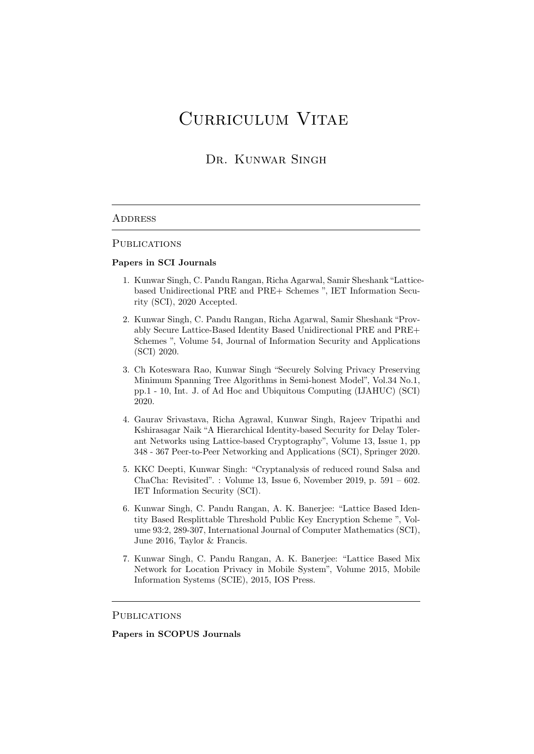# Curriculum Vitae

## Dr. Kunwar Singh

#### **ADDRESS**

#### PUBLICATIONS

#### Papers in SCI Journals

- 1. Kunwar Singh, C. Pandu Rangan, Richa Agarwal, Samir Sheshank"Latticebased Unidirectional PRE and PRE+ Schemes ", IET Information Security (SCI), 2020 Accepted.
- 2. Kunwar Singh, C. Pandu Rangan, Richa Agarwal, Samir Sheshank "Provably Secure Lattice-Based Identity Based Unidirectional PRE and PRE+ Schemes ", Volume 54, Journal of Information Security and Applications (SCI) 2020.
- 3. Ch Koteswara Rao, Kunwar Singh "Securely Solving Privacy Preserving Minimum Spanning Tree Algorithms in Semi-honest Model", Vol.34 No.1, pp.1 - 10, Int. J. of Ad Hoc and Ubiquitous Computing (IJAHUC) (SCI) 2020.
- 4. Gaurav Srivastava, Richa Agrawal, Kunwar Singh, Rajeev Tripathi and Kshirasagar Naik "A Hierarchical Identity-based Security for Delay Tolerant Networks using Lattice-based Cryptography", Volume 13, Issue 1, pp 348 - 367 Peer-to-Peer Networking and Applications (SCI), Springer 2020.
- 5. KKC Deepti, Kunwar Singh: "Cryptanalysis of reduced round Salsa and ChaCha: Revisited". : Volume 13, Issue 6, November 2019, p. 591 – 602. IET Information Security (SCI).
- 6. Kunwar Singh, C. Pandu Rangan, A. K. Banerjee: "Lattice Based Identity Based Resplittable Threshold Public Key Encryption Scheme ", Volume 93:2, 289-307, International Journal of Computer Mathematics (SCI), June 2016, Taylor & Francis.
- 7. Kunwar Singh, C. Pandu Rangan, A. K. Banerjee: "Lattice Based Mix Network for Location Privacy in Mobile System", Volume 2015, Mobile Information Systems (SCIE), 2015, IOS Press.

#### **PUBLICATIONS**

### Papers in SCOPUS Journals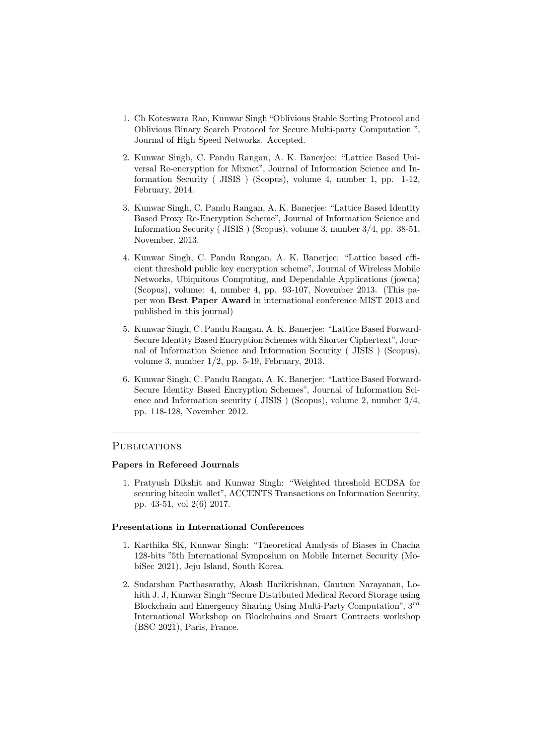- 1. Ch Koteswara Rao, Kunwar Singh "Oblivious Stable Sorting Protocol and Oblivious Binary Search Protocol for Secure Multi-party Computation ", Journal of High Speed Networks. Accepted.
- 2. Kunwar Singh, C. Pandu Rangan, A. K. Banerjee: "Lattice Based Universal Re-encryption for Mixnet", Journal of Information Science and Information Security ( JISIS ) (Scopus), volume 4, number 1, pp. 1-12, February, 2014.
- 3. Kunwar Singh, C. Pandu Rangan, A. K. Banerjee: "Lattice Based Identity Based Proxy Re-Encryption Scheme", Journal of Information Science and Information Security ( JISIS ) (Scopus), volume 3, number 3/4, pp. 38-51, November, 2013.
- 4. Kunwar Singh, C. Pandu Rangan, A. K. Banerjee: "Lattice based efficient threshold public key encryption scheme", Journal of Wireless Mobile Networks, Ubiquitous Computing, and Dependable Applications (jowua) (Scopus), volume: 4, number 4, pp. 93-107, November 2013. (This paper won Best Paper Award in international conference MIST 2013 and published in this journal)
- 5. Kunwar Singh, C. Pandu Rangan, A. K. Banerjee: "Lattice Based Forward-Secure Identity Based Encryption Schemes with Shorter Ciphertext", Journal of Information Science and Information Security ( JISIS ) (Scopus), volume 3, number 1/2, pp. 5-19, February, 2013.
- 6. Kunwar Singh, C. Pandu Rangan, A. K. Banerjee: "Lattice Based Forward-Secure Identity Based Encryption Schemes", Journal of Information Science and Information security ( JISIS ) (Scopus), volume 2, number 3/4, pp. 118-128, November 2012.

#### PUBLICATIONS

#### Papers in Refereed Journals

1. Pratyush Dikshit and Kunwar Singh: "Weighted threshold ECDSA for securing bitcoin wallet", ACCENTS Transactions on Information Security, pp. 43-51, vol 2(6) 2017.

#### Presentations in International Conferences

- 1. Karthika SK, Kunwar Singh: "Theoretical Analysis of Biases in Chacha 128-bits "5th International Symposium on Mobile Internet Security (MobiSec 2021), Jeju Island, South Korea.
- 2. Sudarshan Parthasarathy, Akash Harikrishnan, Gautam Narayanan, Lohith J. J, Kunwar Singh "Secure Distributed Medical Record Storage using Blockchain and Emergency Sharing Using Multi-Party Computation", 3rd International Workshop on Blockchains and Smart Contracts workshop (BSC 2021), Paris, France.